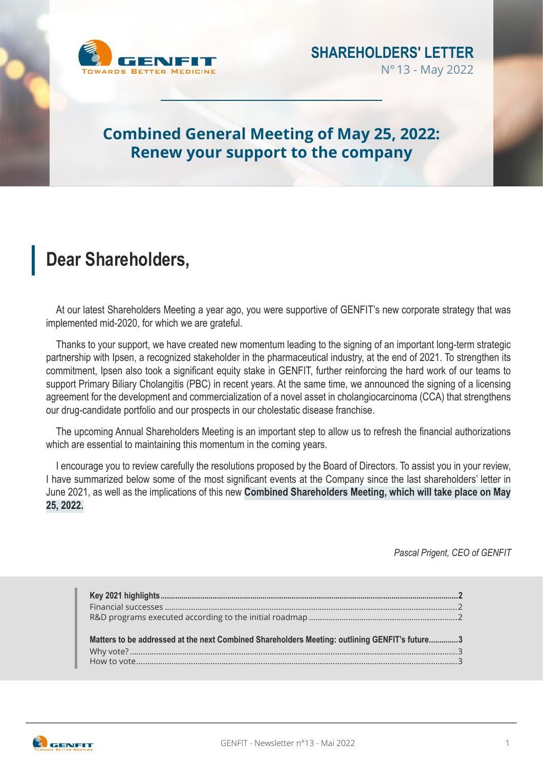

## **Combined General Meeting of May 25, 2022: Renew your support to the company**

# **Dear Shareholders,**

At our latest Shareholders Meeting a year ago, you were supportive of GENFIT's new corporate strategy that was implemented mid-2020, for which we are grateful.

Thanks to your support, we have created new momentum leading to the signing of an important long-term strategic partnership with Ipsen, a recognized stakeholder in the pharmaceutical industry, at the end of 2021. To strengthen its commitment, Ipsen also took a significant equity stake in GENFIT, further reinforcing the hard work of our teams to support Primary Biliary Cholangitis (PBC) in recent years. At the same time, we announced the signing of a licensing agreement for the development and commercialization of a novel asset in cholangiocarcinoma (CCA) that strengthens our drug-candidate portfolio and our prospects in our cholestatic disease franchise.

The upcoming Annual Shareholders Meeting is an important step to allow us to refresh the financial authorizations which are essential to maintaining this momentum in the coming years.

I encourage you to review carefully the resolutions proposed by the Board of Directors. To assist you in your review, I have summarized below some of the most significant events at the Company since the last shareholders' letter in June 2021, as well as the implications of this new **Combined Shareholders Meeting, which will take place on May 25, 2022.**

*Pascal Prigent, CEO of GENFIT*

| Matters to be addressed at the next Combined Shareholders Meeting: outlining GENFIT's future3 |  |
|-----------------------------------------------------------------------------------------------|--|

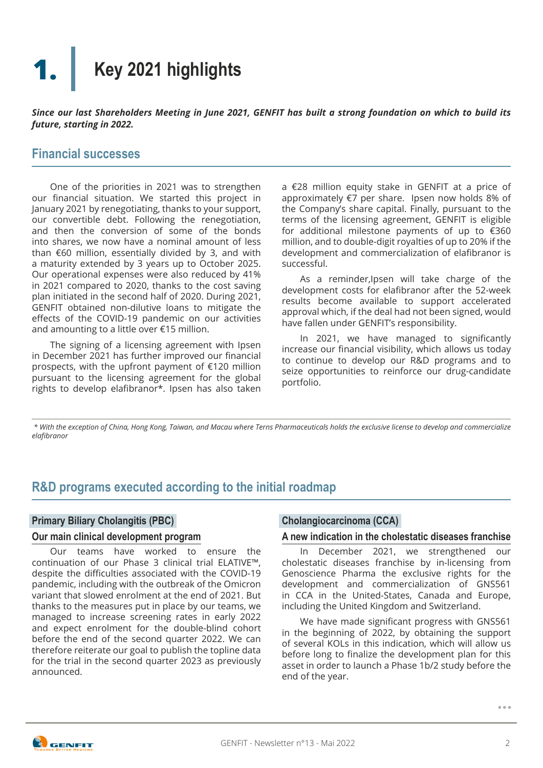## <span id="page-1-0"></span>**Key 2021 highlights 1.**

*Since our last Shareholders Meeting in June 2021, GENFIT has built a strong foundation on which to build its future, starting in 2022.*

### **Financial successes**

One of the priorities in 2021 was to strengthen our financial situation. We started this project in January 2021 by renegotiating, thanks to your support, our convertible debt. Following the renegotiation, and then the conversion of some of the bonds into shares, we now have a nominal amount of less than €60 million, essentially divided by 3, and with a maturity extended by 3 years up to October 2025. Our operational expenses were also reduced by 41% in 2021 compared to 2020, thanks to the cost saving plan initiated in the second half of 2020. During 2021, GENFIT obtained non-dilutive loans to mitigate the effects of the COVID-19 pandemic on our activities and amounting to a little over €15 million.

The signing of a licensing agreement with Ipsen in December 2021 has further improved our financial prospects, with the upfront payment of €120 million pursuant to the licensing agreement for the global rights to develop elafibranor\*. Ipsen has also taken a €28 million equity stake in GENFIT at a price of approximately €7 per share. Ipsen now holds 8% of the Company's share capital. Finally, pursuant to the terms of the licensing agreement, GENFIT is eligible for additional milestone payments of up to €360 million, and to double-digit royalties of up to 20% if the development and commercialization of elafibranor is successful.

As a reminder,Ipsen will take charge of the development costs for elafibranor after the 52-week results become available to support accelerated approval which, if the deal had not been signed, would have fallen under GENFIT's responsibility.

In 2021, we have managed to significantly increase our financial visibility, which allows us today to continue to develop our R&D programs and to seize opportunities to reinforce our drug-candidate portfolio.

 *\* With the exception of China, Hong Kong, Taiwan, and Macau where Terns Pharmaceuticals holds the exclusive license to develop and commercialize elafibranor*

## **R&D programs executed according to the initial roadmap**

#### **Primary Biliary Cholangitis (PBC)**

#### **Our main clinical development program**

Our teams have worked to ensure the continuation of our Phase 3 clinical trial ELATIVE™, despite the difficulties associated with the COVID-19 pandemic, including with the outbreak of the Omicron variant that slowed enrolment at the end of 2021. But thanks to the measures put in place by our teams, we managed to increase screening rates in early 2022 and expect enrolment for the double-blind cohort before the end of the second quarter 2022. We can therefore reiterate our goal to publish the topline data for the trial in the second quarter 2023 as previously announced.

#### **Cholangiocarcinoma (CCA)**

#### **A new indication in the cholestatic diseases franchise**

In December 2021, we strengthened our cholestatic diseases franchise by in-licensing from Genoscience Pharma the exclusive rights for the development and commercialization of GNS561 in CCA in the United-States, Canada and Europe, including the United Kingdom and Switzerland.

We have made significant progress with GNS561 in the beginning of 2022, by obtaining the support of several KOLs in this indication, which will allow us before long to finalize the development plan for this asset in order to launch a Phase 1b/2 study before the end of the year.



**...**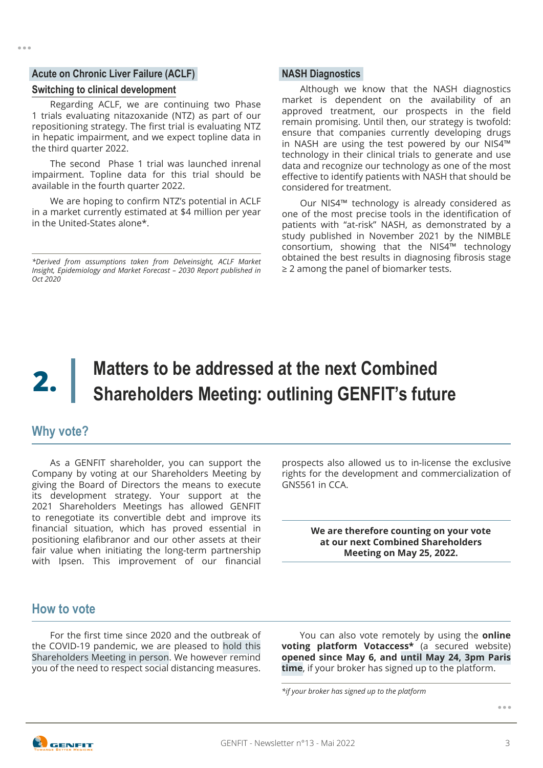#### <span id="page-2-0"></span>**Acute on Chronic Liver Failure (ACLF)**

#### **Switching to clinical development**

Regarding ACLF, we are continuing two Phase 1 trials evaluating nitazoxanide (NTZ) as part of our repositioning strategy. The first trial is evaluating NTZ in hepatic impairment, and we expect topline data in the third quarter 2022.

The second Phase 1 trial was launched inrenal impairment. Topline data for this trial should be available in the fourth quarter 2022.

We are hoping to confirm NTZ's potential in ACLF in a market currently estimated at \$4 million per year in the United-States alone\*.

*\*Derived from assumptions taken from Delveinsight, ACLF Market Insight, Epidemiology and Market Forecast – 2030 Report published in Oct 2020*

#### **NASH Diagnostics**

Although we know that the NASH diagnostics market is dependent on the availability of an approved treatment, our prospects in the field remain promising. Until then, our strategy is twofold: ensure that companies currently developing drugs in NASH are using the test powered by our NIS4™ technology in their clinical trials to generate and use data and recognize our technology as one of the most effective to identify patients with NASH that should be considered for treatment.

Our NIS4™ technology is already considered as one of the most precise tools in the identification of patients with "at-risk" NASH, as demonstrated by a study published in November 2021 by the NIMBLE consortium, showing that the NIS4™ technology obtained the best results in diagnosing fibrosis stage ≥ 2 among the panel of biomarker tests.

# **Matters to be addressed at the next Combined Shareholders Meeting: outlining GENFIT's future 2.**

### **Why vote?**

As a GENFIT shareholder, you can support the Company by voting at our Shareholders Meeting by giving the Board of Directors the means to execute its development strategy. Your support at the 2021 Shareholders Meetings has allowed GENFIT to renegotiate its convertible debt and improve its financial situation, which has proved essential in positioning elafibranor and our other assets at their fair value when initiating the long-term partnership with Ipsen. This improvement of our financial prospects also allowed us to in-license the exclusive rights for the development and commercialization of GNS561 in CCA.

> **We are therefore counting on your vote at our next Combined Shareholders Meeting on May 25, 2022.**

#### **How to vote**

For the first time since 2020 and the outbreak of the COVID-19 pandemic, we are pleased to hold this Shareholders Meeting in person. We however remind you of the need to respect social distancing measures.

You can also vote remotely by using the **online voting platform Votaccess\*** (a secured website) **opened since May 6, and until May 24, 3pm Paris time**, if your broker has signed up to the platform.

*\*if your broker has signed up to the platform*

**...**